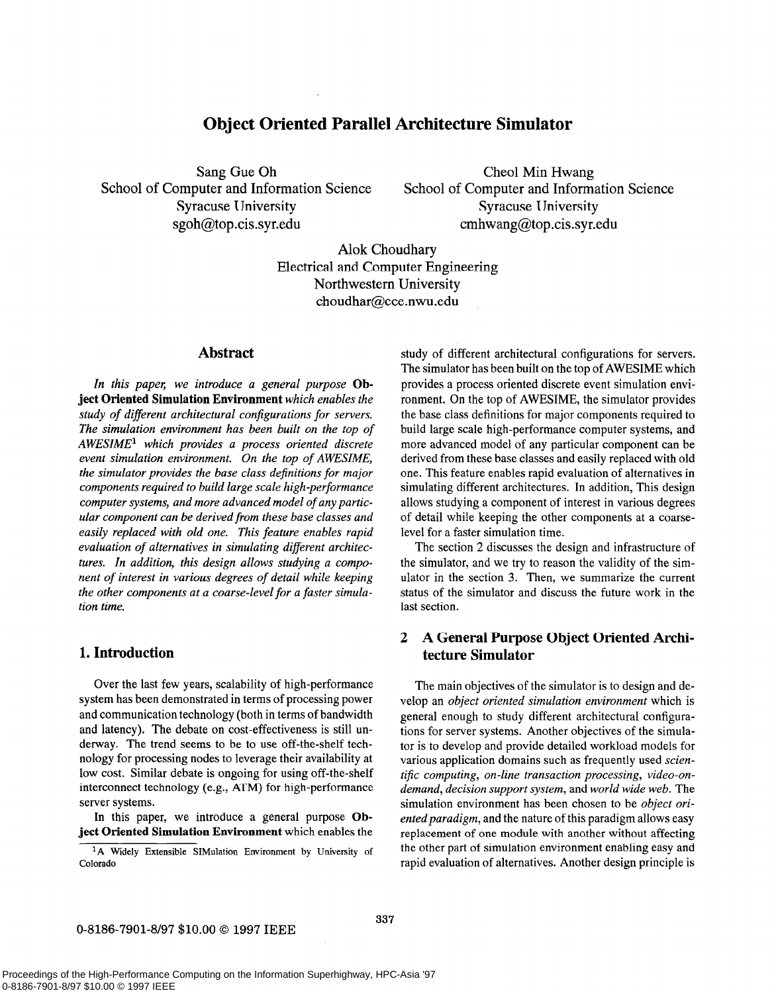# Object Oriented Parallel Architecture Simulator

School of Computer and Information Science School of Computer and Information Science Syracuse University Syracuse University

Sang Gue Oh Cheol Min Hwang sgoh@top.cis.syr.edu cmhwang@top.cis.syr.edu

> Alok Choudhary Electrical and Computer Engineering Northwestern University choudhar@ece.nwu.edu

## Abstract

In this paper, we introduce a general purpose Object Oriented Simulation Environment which enables the study of different architectural configurations for servers. The simulation environment has been built on the top of  $AWESIME<sup>1</sup>$  which provides a process oriented discrete event simulation environment. On the top of AWESIME, the simulator provides the base class definitions for major components required to build large scale high-performance computer systems, and more advanced model of anyparticular component can be derived from these base classes and easily replaced with old one. This feature enables rapid evaluation of alternatives in simulating different architectures. In addition, this design allows studying a component of interest in various degrees of detail while keeping the other components at a coarse-level for a faster simulation time.

# 1. Introduction

Over the last few years, scalability of high-performance system has been demonstrated in terms of processing power and communication technology (both in terms of bandwidth and latency). The debate on cost-effectiveness is still underway. The trend seems to be to use off-the-shelf technology for processing nodes to leverage their availability at low cost. Similar debate is ongoing for using off-the-shelf interconnect technology (e.g., ATM) for high-performance server systems.

In this paper, we introduce a general purpose Object Oriented Simulation Environment which enables the

<sup>1</sup>A Widely Extensible SIMulation Environment by University of Colorado

study of different architectural configurations for servers. The simulator has been built on the top of AWESIME which provides a process oriented discrete event simulation environment. On the top of AWESIME, the simulator provides the base class definitions for major components required to build large scale high-performance computer systems, and more advanced model of any particular component can be derived from these base classes and easily replaced with old one. This feature enables rapid evaluation of alternatives in simulating different architectures. In addition, This design allows studying a component of interest in various degrees of detail while keeping the other components at a coarselevel for a faster simulation time.

The section 2 discusses the design and infrastructure of the simulator, and we try to reason the validity of the simulator in the section 3. Then, we summarize the current status of the simulator and discuss the future work in the last section.

# 2 A General Purpose Object Oriented Architecture Simulator

The main objectives of the simulator is to design and develop an object oriented simulation environment which is general enough to study different architectural configurations for server systems. Another objectives of the simulator is to develop and provide detailed workload models for various application domains such as frequently used scientific computing, on-line transaction processing, video-ondemand, decision support system, and world wide web. The simulation environment has been chosen to be *object ori*ented paradigm, and the nature of this paradigm allows easy replacement of one module with another without affecting the other part of simulation environment enabling easy and rapid evaluation of alternatives. Another design principle is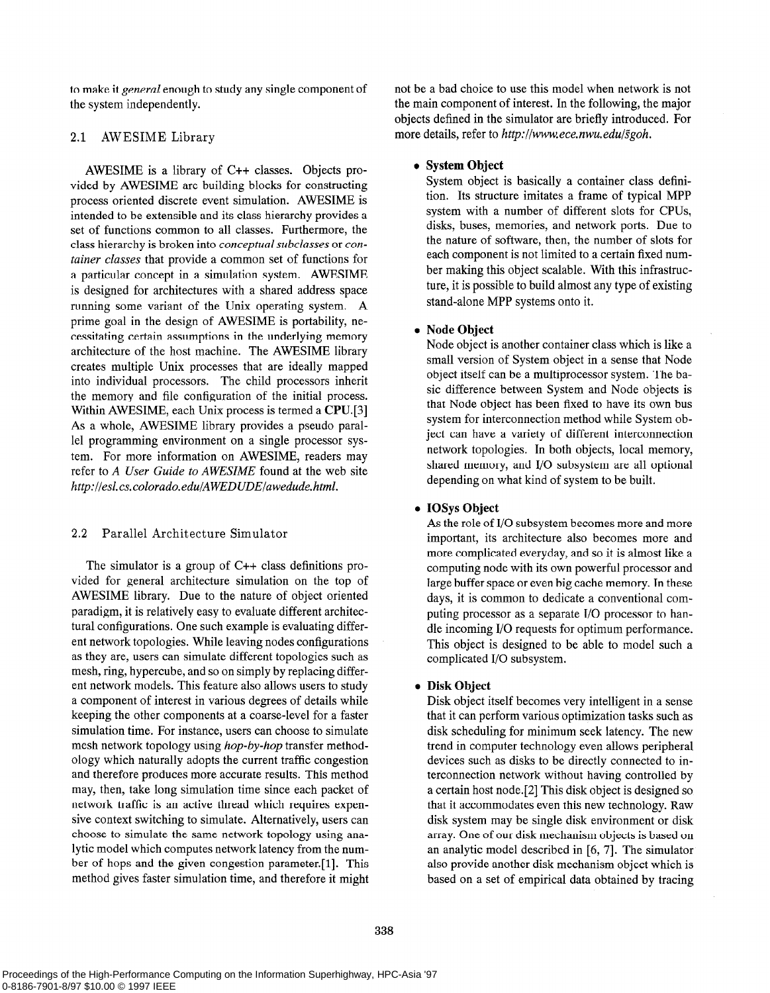to make it general enough to study any single component of the system independently.

# 2.1 AWESIME Library

AWESIME is a library of C++ classes. Objects provided by AWESIME are building blocks for constructing process oriented discrete event simulation. AWESIME is intended to be extensible and its class hierarchy provides a set of functions common to all classes. Furthermore, the class hierarchy is broken into conceptual subclasses or container classes that provide a common set of functions for a particular concept in a simulation system. AWESIME is designed for architectures with a shared address space running some variant of the Unix operating system. A prime goal in the design of AWESIME is portability, necessitating certain assumptions in the underlying memory architecture of the host machine. The AWESIME library creates multiple Unix processes that are ideally mapped into individual processors. The child processors inherit the memory and file configuration of the initial process. Within AWESIME, each Unix process is termed a CPU.[3] As a whole, AWESIME library provides a pseudo parallel programming environment on a single processor system. For more information on AWESIME, readers may refer to A User Guide to AWESIME found at the web site http://esl.cs.colorado.edu/AWEDUDE/awedude.html.

## 2.2 Parallel Architecture Simulator

The simulator is a group of C++ class definitions provided for general architecture simulation on the top of AWESIME library. Due to the nature of object oriented paradigm, it is relatively easy to evaluate different architectural configurations. One such example is evaluating different network topologies. While leaving nodes configurations as they are, users can simulate different topologies such as mesh, ring, hypercube, and so on simply by replacing different network models. This feature also allows users to study a component of interest in various degrees of details while keeping the other components at a coarse-level for a faster simulation time. For instance, users can choose to simulate mesh network topology using hop-by-hop transfer methodology which naturally adopts the current traffic congestion and therefore produces more accurate results. This method may, then, take long simulation time since each packet of network traffic is an active thread which requires expensive context switching to simulate. Alternatively, users can choose to simulate the same network topology using analytic model which computes network latency from the number of hops and the given congestion parameter.[l]. This method gives faster simulation time, and therefore it might not be a bad choice to use this model when network is not the main component of interest. In the following, the major objects defined in the simulator are briefly introduced. For more details, refer to http://www.ece.nwu.edu/sgoh.

## • System Object

System object is basically a container class definition. Its structure imitates a frame of typical MPP system with a number of different slots for CPUs, disks, buses, memories, and network ports. Due to the nature of software, then, the number of slots for each component is not limited to a certain fixed number making this object scalable. With this infrastructure, it is possible to build almost any type of existing stand-alone MPP systems onto it.

## Node Object

Node object is another container class which is like a small version of System object in a sense that Node object itself can be a multiprocessor system. The basic difference between System and Node objects is that Node object has been fixed to have its own bus system for interconnection method while System object can have a variety of different interconnection network topologies. In both objects, local memory, shared memory, and I/O subsystem are all optional depending on what kind of system to be built.

## IOSys Object

As the role of I/O subsystem becomes more and more important, its architecture also becomes more and more complicated everyday, and so it is almost like a computing node with its own powerful processor and large buffer space or even big cache memory. In these days, it is common to dedicate a conventional computing processor as a separate I/O processor to handle incoming I/O requests for optimum performance. This object is designed to be able to model such a complicated I/O subsystem.

## Disk Object

Disk object itself becomes very intelligent in a sense that it can perform various optimization tasks such as disk scheduling for minimum seek latency. The new trend in computer technology even allows peripheral devices such as disks to be directly connected to interconnection network without having controlled by a certain host node.[2] This disk object is designed so that it accommodates even this new technology. Raw disk system may be single disk environment or disk array. One of our disk mechanism objects is based on an analytic model described in [6, 71. The simulator also provide another disk mechanism object which is based on a set of empirical data obtained by tracing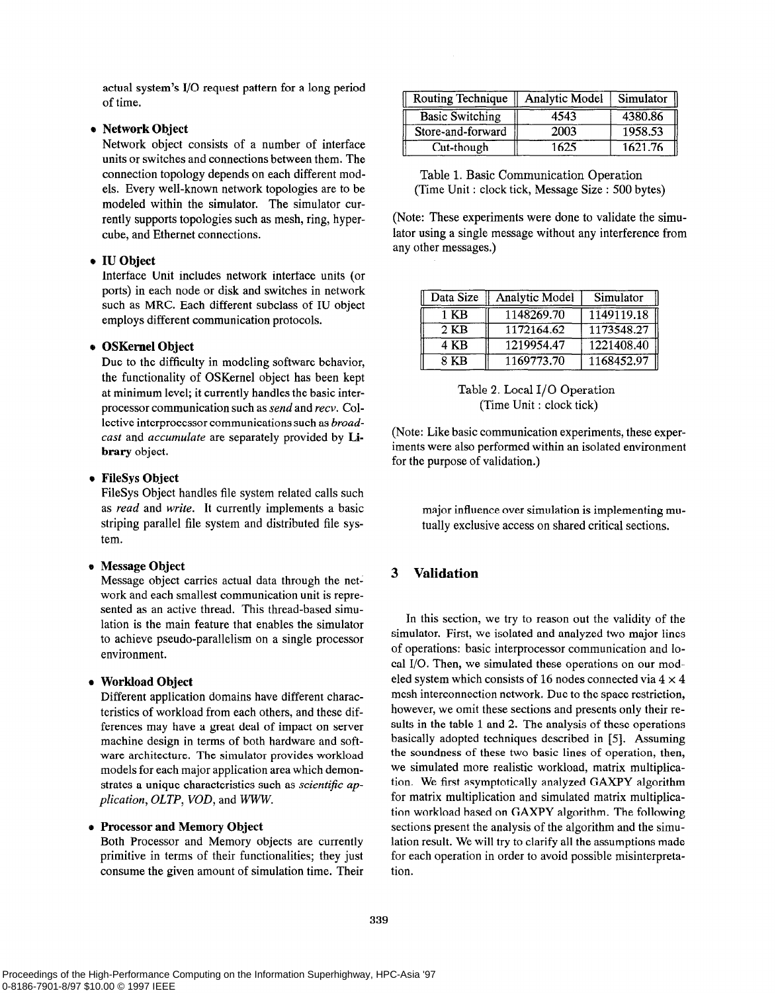actual system's I/O request pattern for a long period of time.

## Network Object

Network object consists of a number of interface units or switches and connections between them. The connection topology depends on each different models. Every well-known network topologies are to be modeled within the simulator. The simulator currently supports topologies such as mesh, ring, hypercube, and Ethernet connections.

## IU Object

Interface Unit includes network interface units (or ports) in each node or disk and switches in network such as MRC. Each different subclass of IU object employs different communication protocols.

### OSKernel Object

Due to the difficulty in modeling software behavior, the functionality of OSKernel object has been kept at minimum level; it currently handles the basic interprocessor communication such as send and recv. Collective interprocessor communications such as broadcast and accumulate are separately provided by Library object.

### FileSys Object

FileSys Object handles file system related calls such as read and write. It currently implements a basic striping parallel file system and distributed file system.

#### Message Object

Message object carries actual data through the network and each smallest communication unit is represented as an active thread. This thread-based simulation is the main feature that enables the simulator to achieve pseudo-parallelism on a single processor environment.

## Workload Object

Different application domains have different characteristics of workload from each others, and these differences may have a great deal of impact on server machine design in terms of both hardware and software architecture. The simulator provides workload models for each major application area which demonstrates a unique characteristics such as scientific application, OLTP, VOD, and WWW.

#### e Processor and Memory Object

Both Processor and Memory objects are currently primitive in terms of their functionalities; they just consume the given amount of simulation time. Their

| Routing Technique      | <b>Analytic Model</b> | Simulator |
|------------------------|-----------------------|-----------|
| <b>Basic Switching</b> | 4543                  | 4380.86   |
| Store-and-forward      | 2003                  | 1958.53   |
| Cut-though             | 1625                  | 1621.76   |

| Table 1. Basic Communication Operation             |
|----------------------------------------------------|
| (Time Unit : clock tick, Message Size : 500 bytes) |

(Note: These experiments were done to validate the simulator using a single message without any interference from any other messages.)

| Data Size | Analytic Model | Simulator  |  |
|-----------|----------------|------------|--|
| 1 KB      | 1148269.70     | 1149119.18 |  |
| $2$ KB    | 1172164.62     | 1173548.27 |  |
| 4 KB      | 1219954.47     | 1221408.40 |  |
| 8 KB      | 1169773.70     | 1168452.97 |  |

Table 2. Local I/O Operation (Time Unit : clock tick)

(Note: Like basic communication experiments, these experiments were also performed within an isolated environment for the purpose of validation.)

> major influence over simulation is implementing mutually exclusive access on shared critical sections.

# 3 Validation

In this section, we try to reason out the validity of the simulator. First, we isolated and analyzed two major lines of operations: basic interprocessor communication and local I/O. Then, we simulated these operations on our modeled system which consists of 16 nodes connected via  $4 \times 4$ mesh interconnection network. Due to the space restriction, however, we omit these sections and presents only their results in the table 1 and 2. The analysis of these operations basically adopted techniques described in [5]. Assuming the soundness of these two basic lines of operation, then, we simulated more realistic workload, matrix multiplication. We first asymptotically analyzed GAXPY algorithm for matrix multiplication and simulated matrix multiplication workload based on GAXPY algorithm. The following sections present the analysis of the algorithm and the simulation result. We will try to clarify all the assumptions made for each operation in order to avoid possible misinterpretation.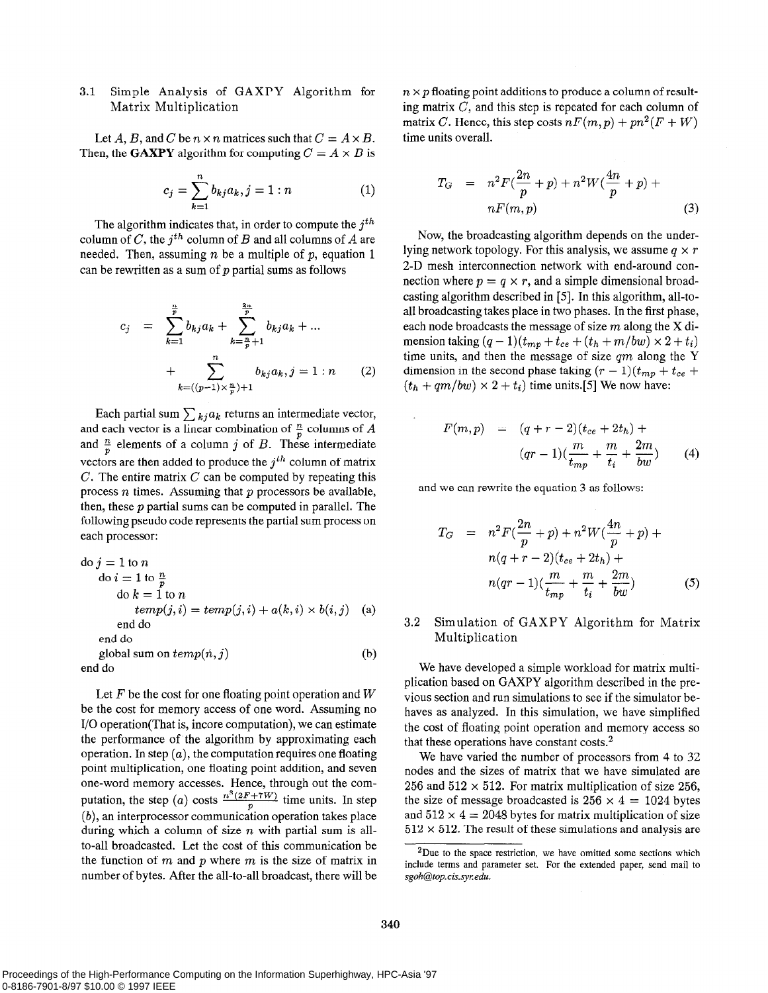### 3.1 Simple Analysis of GAXPY Algorithm for Matrix Multiplication

Let A, B, and C be  $n \times n$  matrices such that  $C = A \times B$ . Then, the GAXPY algorithm for computing  $C = A \times B$  is

$$
c_j = \sum_{k=1}^{n} b_{kj} a_k, j = 1 : n
$$
 (1)

The algorithm indicates that, in order to compute the  $j<sup>th</sup>$ column of C, the  $j<sup>th</sup>$  column of B and all columns of A are needed. Then, assuming  $n$  be a multiple of  $p$ , equation 1 can be rewritten as a sum of  $p$  partial sums as follows

$$
c_j = \sum_{k=1}^{\frac{n}{p}} b_{kj} a_k + \sum_{k=\frac{n}{p}+1}^{\frac{2n}{p}} b_{kj} a_k + \dots
$$
  
+ 
$$
\sum_{k=(p-1)\times\frac{n}{p}+1}^n b_{kj} a_k, j = 1 : n \qquad (2)
$$

Each partial sum  $\sum_{kj} a_k$  returns an intermediate vector, and each vector is a linear combination of  $\frac{n}{n}$  columns of A and  $\frac{n}{n}$  elements of a column j of B. These intermediate vectors are then added to produce the  $j<sup>th</sup>$  column of matrix C. The entire matrix  $C$  can be computed by repeating this process  $n$  times. Assuming that  $p$  processors be available, then, these  $p$  partial sums can be computed in parallel. The following pseudo code represents the partial sum process on each processor:

$$
do j = 1 to n
$$
  
\n
$$
do i = 1 to \frac{n}{p}
$$
  
\n
$$
do k = 1 to n
$$
  
\n
$$
temp(j, i) = temp(j, i) + a(k, i) \times b(i, j)
$$
 (a)  
\nend do  
\nend do  
\nglobal sum on temp(*n*, *j*) (b)  
\nend do

Let  $F$  be the cost for one floating point operation and  $W$ be the cost for memory access of one word. Assuming no I/O operation(That is, incore computation), we can estimate the performance of the algorithm by approximating each operation. In step  $(a)$ , the computation requires one floating point multiplication, one floating point addition, and seven one-word memory accesses. Hence, through out the computation, the step (a) costs  $\frac{n^3(2F+7W)}{p}$  time units. In step (b), an interprocessor communication operation takes place during which a column of size  $n$  with partial sum is allto-all broadcasted. Let the cost of this communication be the function of m and p where m is the size of matrix in number of bytes. After the all-to-all broadcast, there will be  $n \times p$  floating point additions to produce a column of resulting matrix  $C$ , and this step is repeated for each column of matrix C. Hence, this step costs  $nF(m, p) + pn^2(F + W)$ time units overall.

$$
T_G = n^2 F(\frac{2n}{p} + p) + n^2 W(\frac{4n}{p} + p) + nF(m, p)
$$
\n(3)

Now, the broadcasting algorithm depends on the underlying network topology. For this analysis, we assume  $q \times r$ 2-D mesh interconnection network with end-around connection where  $p = q \times r$ , and a simple dimensional broadcasting algorithm described in [5]. In this algorithm, all-toall broadcasting takes place in two phases. In the first phase, each node broadcasts the message of size  $m$  along the X dimension taking  $(q-1)(t_{mp}+t_{ce}+(t_h+m/bw)\times 2+t_i)$ time units, and then the message of size  $qm$  along the Y dimension in the second phase taking  $(r - 1)(t_{mp} + t_{ce} +$  $(t_h + qm/bw) \times 2 + t_i$  time units.[5] We now have:

$$
F(m, p) = (q + r - 2)(t_{ce} + 2t_h) +
$$
  

$$
(qr - 1)(\frac{m}{t_{mp}} + \frac{m}{t_i} + \frac{2m}{bw})
$$
 (4)

and we can rewrite the equation 3 as follows:

$$
T_G = n^2 F(\frac{2n}{p} + p) + n^2 W(\frac{4n}{p} + p) + n(q+r-2)(t_{ce} + 2t_h) + n(qr-1)(\frac{m}{t_{mp}} + \frac{m}{t_i} + \frac{2m}{bw})
$$
 (5)

## 3.2 Simulation of GAXPY Algorithm for Matrix Multiplication

We have developed a simple workload for matrix multiplication based on GAXPY algorithm described in the previous section and run simulations to see if the simulator behaves as analyzed. In this simulation, we have simplified the cost of floating point operation and memory access so that these operations have constant costs.<sup>2</sup>

We have varied the number of processors from 4 to 32 nodes and the sizes of matrix that we have simulated are 256 and  $512 \times 512$ . For matrix multiplication of size 256, the size of message broadcasted is  $256 \times 4 = 1024$  bytes and  $512 \times 4 = 2048$  bytes for matrix multiplication of size  $512 \times 512$ . The result of these simulations and analysis are

<sup>2</sup>Due to the space restriction, we have omitted some sections which include terms and parameter set. For the extended paper, send mail to sgoh@top.cis.syr.edu.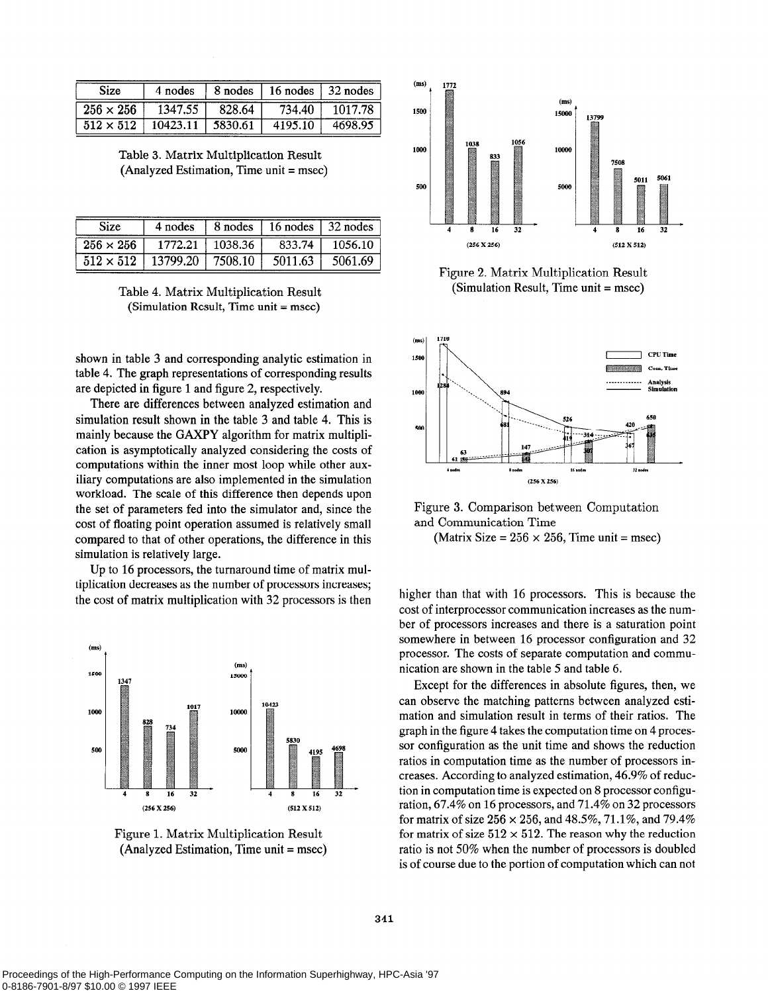| Size             | 4 nodes  | 8 nodes | $16$ nodes | $\pm$ 32 nodes |
|------------------|----------|---------|------------|----------------|
| $256 \times 256$ | 1347.55  | 828.64  | 734.40     | 1017.78        |
| $512 \times 512$ | 10423.11 | 5830.61 | 4195.10    | 4698.95        |

Table 3. Matrix Multiplication Result (Analyzed Estimation, Time unit = msec)

| Size             | 4 nodes  | 8 nodes | 16 nodes | $\pm$ 32 nodes |
|------------------|----------|---------|----------|----------------|
| $256 \times 256$ | 1772.21  | 1038.36 | 833.74   | 1056.10        |
| $512 \times 512$ | 13799.20 | 7508.10 | 5011.63  | 5061.69        |

Table 4. Matrix Multiplication Result (Simulation Result, Time unit = msec)

shown in table 3 and corresponding analytic estimation in table 4. The graph representations of corresponding results are depicted in figure 1 and figure 2, respectively.

There are differences between analyzed estimation and simulation result shown in the table 3 and table 4. This is mainly because the GAXPY algorithm for matrix multiplication is asymptotically analyzed considering the costs of computations within the inner most loop while other auxiliary computations are also implemented in the simulation workload. The scale of this difference then depends upon the set of parameters fed into the simulator and, since the cost of floating point operation assumed is relatively small compared to that of other operations, the difference in this simulation is relatively large.

Up to 16 processors, the turnaround time of matrix multiplication decreases as the number of processors increases; the cost of matrix multiplication with 32 processors is then



Figure 1. Matrix Multiplication Result (Analyzed Estimation, Time unit = msec)



Figure 2. Matrix Multiplication Result (Simulation Result, Time unit = msec)



Figure 3. Comparison between Computation and Communication Time (Matrix Size =  $256 \times 256$ , Time unit = msec)

higher than that with 16 processors. This is because the cost of interprocessor communication increases as the number of processors increases and there is a saturation point somewhere in between 16 processor configuration and 32 processor. The costs of separate computation and communication are shown in the table 5 and table 6.

Except for the differences in absolute figures, then, we can observe the matching patterns between analyzed estimation and simulation result in terms of their ratios. The graph in the figure 4 takes the computation time on 4 processor configuration as the unit time and shows the reduction ratios in computation time as the number of processors increases. According to analyzed estimation, 46.9% of reduction in computation time is expected on 8 processor configuration, 67.4% on 16 processors, and 71.4% on 32 processors for matrix of size  $256 \times 256$ , and  $48.5\%$ ,  $71.1\%$ , and  $79.4\%$ for matrix of size  $512 \times 512$ . The reason why the reduction ratio is not 50% when the number of processors is doubled is of course due to the portion of computation which can not